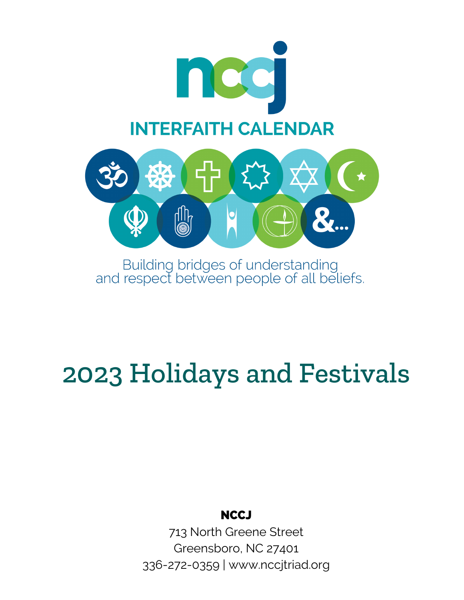

Building bridges of understanding<br>and respect between people of all beliefs.

# 2023 Holidays and Festivals

## **NCCJ**

713 North Greene Street Greensboro, NC 27401 336-272-0359 | www.nccjtriad.org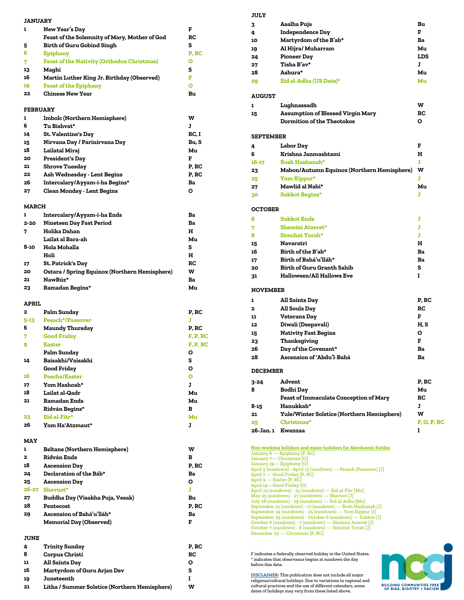| <b>JANUARY</b>  |                                                                |          |
|-----------------|----------------------------------------------------------------|----------|
| ı               | New Year's Day                                                 | F        |
|                 | Feast of the Solemnity of Mary, Mother of God                  | RC       |
| 5               | <b>Birth of Guru Gobind Singh</b>                              | s        |
| 6               | <b>Epiphany</b>                                                | P, RC    |
| 7               | <b>Feast of the Nativity (Orthodox Christmas)</b>              | Ο        |
| 13              | Maghi                                                          | s        |
| 16              | Martin Luther King Jr. Birthday (Observed)                     | F        |
| 19              | <b>Feast of the Epiphany</b>                                   | Ο        |
| 22              | <b>Chinese New Year</b>                                        | Bu       |
| <b>FEBRUARY</b> |                                                                |          |
| ı               | Imbolc (Northern Hemisphere)                                   | w        |
| 6               | Tu Bishvat*                                                    | J        |
| 14              | St. Valentine's Day                                            | RC, I    |
| 15              | Nirvana Day / Parinirvana Day                                  | Bu, S    |
| 18              | Lailatal Miraj                                                 | Mu       |
| 20              | <b>President's Day</b>                                         | F        |
| 21              | Shrove Tuesday                                                 | P, RC    |
| 22              | Ash Wednesday - Lent Begins                                    | P, RC    |
| 26              | Intercalary/Ayyam-i-ha Begins*                                 | Ba       |
| 27              | <b>Clean Monday - Lent Begins</b>                              | Ο        |
| <b>MARCH</b>    |                                                                |          |
| ı               |                                                                |          |
| $2 - 20$        | Intercalary/Ayyam-i-ha Ends<br><b>Nineteen Day Fast Period</b> | Ba<br>Ba |
| 7               | Holika Dahan                                                   | н        |
|                 | Lailat al Bara-ah                                              | Mu       |
| 8-10            | Hola Mohalla                                                   | s        |
|                 | Holi                                                           | н        |
| 17              | St. Patrick's Day                                              | RC       |
| 20              | Ostara / Spring Equinox (Northern Hemisphere)                  | w        |
| 21              | NawRúz*                                                        | Ba       |
| 23              | Ramadan Begins*                                                | Mu       |
|                 |                                                                |          |
| APRIL           |                                                                |          |
|                 |                                                                |          |
| 2               | <b>Palm Sunday</b>                                             | P, RC    |
| $5 - 13$        | <b>Pesach*/Passover</b>                                        | J        |
| 6               | <b>Maundy Thursday</b>                                         | P, RC    |
| 7               | <b>Good Friday</b>                                             | F, P, RC |
| 9               | <b>Easter</b>                                                  | F, P, RC |
|                 | Palm Sunday                                                    | Ο        |
| 14              | Baisakhi/Vaisakhi                                              | s        |
|                 | <b>Good Friday</b>                                             | O        |
| 16              | <b>Pascha/Easter</b>                                           | O        |
| 17<br>18        | Yom Hashoah*<br>Lailat al-Qadr                                 | J<br>Mu  |
| 21              | <b>Ramadan Ends</b>                                            | Mu       |
|                 | Ridván Begins*                                                 | в        |
| 23              | Eid al-Fitr*                                                   | Mu       |
| 26              | Yom Ha'Atzmaut*                                                | J        |
|                 |                                                                |          |
| MAY             |                                                                |          |
| ı               | <b>Beltane (Northern Hemisphere)</b>                           | w        |
| 2               | <b>Ridván Ends</b>                                             | в        |
| 18              | <b>Ascension Day</b>                                           | P, RC    |
| 24              | Declaration of the Báb*                                        | Ba       |
| 25              | <b>Ascension Day</b>                                           | O        |
| 26-27           | Shavuot*                                                       | J        |
| 27              | Buddha Day (Visakha Puja, Vesak)                               | Bu       |
| 28              | Pentecost                                                      | P, RC    |
| 29              | Ascension of Bahá'u'lláh*                                      | Ba       |
|                 | <b>Memorial Day (Observed)</b>                                 | F        |
| <b>JUNE</b>     |                                                                |          |
| 4               | Trinity Sunday                                                 | P, RC    |
| 8               | <b>Corpus Christi</b>                                          | RC       |
| 11              | <b>All Saints Day</b>                                          | O        |
| 16              | Martyrdom of Guru Arjan Dev                                    | s        |
| 19<br>21        | Juneteenth<br>Litha / Summer Solstice (Northern Hemisphere)    | I<br>w   |

#### **JULY**

| 3                | Asalha Puja                                       | Bu          |
|------------------|---------------------------------------------------|-------------|
| 4                | <b>Independence Day</b>                           | F           |
| 10               | Martyrdom of the B'ab*                            | Ba          |
| 19               | Al Hijra/ Muharram                                | Mu          |
| 24               | <b>Pioneer Day</b>                                | LDS         |
| 27               | Tisha B'av*                                       | J           |
| 28               | Ashura*                                           | Mu          |
| 29               | Eid al-Adha (US Date)*                            | Mu          |
| <b>AUGUST</b>    |                                                   |             |
| ı                | Lughnassadh                                       | W           |
| 15               | Assumption of Blessed Virgin Mary                 | RC          |
|                  | <b>Dormition of the Theotokos</b>                 | Ο           |
| <b>SEPTEMBER</b> |                                                   |             |
| 4                | <b>Labor Day</b>                                  | F           |
| 6                | Krishna Janmashtami                               | н           |
| 16-17            | Rosh Hashanah*                                    | J           |
| 23               | Mabon/Autumn Equinox (Northern Hemisphere)        | w           |
| 25               | Yom Kippur*                                       | J           |
| 27               | Mawlid al Nabi*                                   | Mu          |
| 30               | <b>Sukkot Begins*</b>                             | J           |
| <b>OCTOBER</b>   |                                                   |             |
| 6                | <b>Sukkot Ends</b>                                | J           |
| 7                | Shemini Atzeret*                                  | J           |
| 8                | <b>Simchat Torah*</b>                             | J           |
| 15               | Navaratri                                         | н           |
| 16               | Birth of the B'ab*                                | Ba          |
| 17               | Birth of Bahá'u'lláh*                             | Ba          |
| 20               | Birth of Guru Granth Sahib                        | s           |
| 31               | <b>Halloween/All Hallows Eve</b>                  | I           |
| <b>NOVEMBER</b>  |                                                   |             |
| ı                | All Saints Day                                    | P, RC       |
| 2                | All Souls Day                                     | RC          |
| 11               | Veterans Day                                      | F           |
| 12               | Diwali (Deepavali)                                | H, S        |
| 15               | <b>Nativity Fast Begins</b>                       | Ο           |
| 23               | Thanksgiving                                      | F           |
| 26               | Day of the Covenant*                              | Ba          |
| 28               | Ascension of 'Abdu'l-Bahá                         | Ba          |
| <b>DECEMBER</b>  |                                                   |             |
| 3-24             | Advent                                            | P, RC       |
| 8                | <b>Bodhi Day</b>                                  | Mu          |
|                  | <b>Feast of Immaculate Conception of Mary</b>     | RC          |
| 8-15             | Hanukkah*                                         | J           |
| 21               | <b>Yule/Winter Solstice (Northern Hemisphere)</b> | w           |
| 25               | Christmas*                                        | F, O, P, RC |
| 26-Jan. 1        | Kwanzaa                                           | I           |
|                  |                                                   |             |

Non-working holidays and major holidays for Abrahamic Faiths:<br>January 6 — Epiphany [P, RC]<br>January 7— Christmas [O]<br>January 19— Epiphany [O]<br>April 5 (sundown) - April 13 (sundown) — Pesach (Passover) [J]<br>April 7 — Good Fri April 14—Good Friday (O)<br>April 22 (sundown) – 23 (sundown) — Eid al-Fitr [Mu]<br>Any 25 (sundown) - 23 (sundown) — Shavuot [J]<br>July 28 (sundown) - 29 (sundown) — Eid al-Adha [Mu]<br>September 15 (sundown) - 17 (sundown) — Rosh H

**F** indicates a federally observed holiday in the United States. **\*** indicates that observance begins at sundown the day before this date.

**DISCLAIMER:** This publication does not include all major religious/cultural holidays. Due to variations in regional and cultural practices and the use of different calendars, some dates of holidays may vary from these listed above.

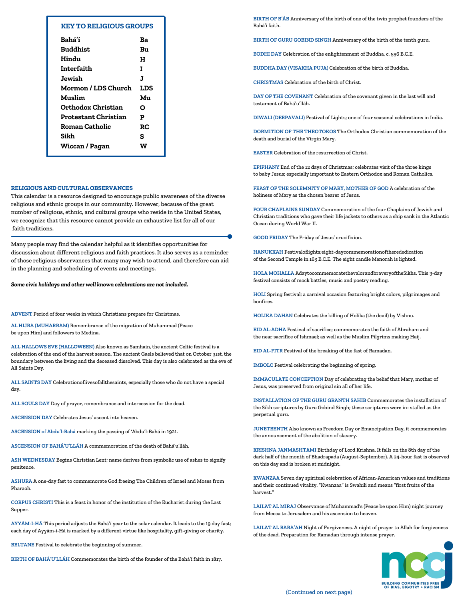| <b>KEY TO RELIGIOUS GROUPS</b> |  |
|--------------------------------|--|
|                                |  |

| Bahá'í                | Bэ   |
|-----------------------|------|
| Buddhist.             | Bu   |
| Hindu                 | н    |
| Interfaith            | т    |
| Jewish                | J.   |
| Mormon / LDS Church   | T.DS |
| Muslim                | Mп   |
| Orthodox Christian    | ი    |
| Protestant Christian  | P    |
| Roman Catholic        | RC   |
| Sikh                  | s    |
| <b>Wiccan / Pagan</b> | w    |
|                       |      |

#### **RELIGIOUS AND CULTURAL OBSERVANCES**

This calendar is a resource designed to encourage public awareness of the diverse religious and ethnic groups in our community. However, because of the great number of religious, ethnic, and cultural groups who reside in the United States, we recognize that this resource cannot provide an exhaustive list for all of our faith traditions.

Many people may find the calendar helpful as it identifies opportunities for discussion about different religious and faith practices. It also serves as a reminder of those religious observances that many may wish to attend, and therefore can aid in the planning and scheduling of events and meetings.

*Some civic holidays and other well known celebrations are notincluded.*

**ADVENT** Period of four weeks in which Christians prepare for Christmas.

**AL HIJRA (MUHARRAM)** Remembrance of the migration of Muhammad (Peace be upon Him) and followers to Medina.

**ALL HALLOWS EVE (HALLOWEEN)** Also known as Samhain, the ancient Celtic festival is a celebration of the end of the harvest season. The ancient Gaels believed that on October 31st, the boundary between the living and the deceased dissolved. This day is also celebrated as the eve of All Saints Day.

**ALL SAINTS DAY** Celebrationoflivesofallthesaints, especially those who do not have a special day.

**ALL SOULS DAY** Day of prayer, remembrance and intercession for the dead.

**ASCENSION DAY** Celebrates Jesus' ascent into heaven.

**ASCENSION of Abdu'l-Bahá** marking the passing of 'Abdu'l-Bahá in 1921.

**ASCENSION OF BAHÁ'U'LLÁH** A commemoration of the death of Bahá'u'lláh.

**ASH WEDNESDAY** Begins Christian Lent; name derives from symbolic use of ashes to signify penitence.

**ASHURA** A one-day fast to commemorate God freeing The Children of Israel and Moses from Pharaoh.

**CORPUS CHRISTI** This is a feast in honor of the institution of the Eucharist during the Last Supper.

**AYYÁM-I-HÁ** This period adjusts the Bahá'í year to the solar calendar. It leads to the 19 day fast; each day of Ayyám-i-Há is marked by a different virtue like hospitality, gift-giving or charity.

**BELTANE** Festival to celebrate the beginning of summer.

**BIRTH OF BAHÁ'U'LLÁH** Commemorates the birth of the founder of the Bahá'í faith in 1817.

**BIRTH OF B'ÁB** Anniversary of the birth of one of the twin prophet founders of the Bahá'í faith.

**BIRTH OF GURU GOBIND SINGH** Anniversary of the birth of the tenth guru.

**BODHI DAY** Celebration of the enlightenment of Buddha, c. 596 B.C.E.

**BUDDHA DAY (VISAKHA PUJA)** Celebration of the birth of Buddha.

**CHRISTMAS** Celebration of the birth of Christ.

**DAY OF THE COVENANT** Celebration of the covenant given in the last will and testament of Bahá'u'lláh.

**DIWALI (DEEPAVALI)** Festival of Lights; one of four seasonal celebrations in India.

**DORMITION OF THE THEOTOKOS** The Orthodox Christian commemoration of the death and burial of the Virgin Mary.

**EASTER** Celebration of the resurrection of Christ.

**EPIPHANY** End of the 12 days of Christmas; celebrates visit of the three kings to baby Jesus; especially important to Eastern Orthodox and Roman Catholics.

**FEAST OF THE SOLEMNITY OF MARY, MOTHER OF GOD** A celebration of the holiness of Mary as the chosen bearer of Jesus.

**FOUR CHAPLAINS SUNDAY** Commemoration of the four Chaplains of Jewish and Christian traditions who gave their life jackets to others as a ship sank in the Atlantic Ocean during World War II.

**GOOD FRIDAY** The Friday of Jesus' crucifixion.

**HANUKKAH** Festivaloflights;eight-daycommemorationoftherededication of the Second Temple in 165 B.C.E. The eight candle Menorah is lighted.

**HOLA MOHALLA** AdaytocommemoratethevalorandbraveryoftheSikhs. This 3-day festival consists of mock battles, music and poetry reading.

**HOLI** Spring festival; a carnival occasion featuring bright colors, pilgrimages and bonfires.

**HOLIKA DAHAN** Celebrates the killing of Holika (the devil) by Vishnu.

**EID AL-ADHA** Festival of sacrifice; commemorates the faith of Abraham and the near sacrifice of Ishmael; as well as the Muslim Pilgrims making Haij.

**EID AL-FITR** Festival of the breaking of the fast of Ramadan.

**IMBOLC** Festival celebrating the beginning of spring.

**IMMACULATE CONCEPTION** Day of celebrating the belief that Mary, mother of Jesus, was preserved from original sin all of her life.

**INSTALLATION OF THE GURU GRANTH SAHIB** Commemorates the installation of the Sikh scriptures by Guru Gobind Singh; these scriptures were in- stalled as the perpetual guru.

**JUNETEENTH** Also known as Freedom Day or Emancipation Day, it commemorates the announcement of the abolition of slavery.

**KRISHNA JANMASHTAMI** Birthday of Lord Krishna. It falls on the 8th day of the dark half of the month of Bhadrapada (August-September). A 24-hour fast is observed on this day and is broken at midnight.

**KWANZAA** Seven day spiritual celebration of African-American values and traditions and their continued vitality. "Kwanzaa" is Swahili and means "first fruits of the harvest."

**LAILAT AL MIRAJ** Observance of Muhammad's (Peace be upon Him) night journey from Mecca to Jerusalem and his ascension to heaven.

**LAILAT AL BARA'AH** Night of Forgiveness. A night of prayer to Allah for forgiveness of the dead. Preparation for Ramadan through intense prayer.